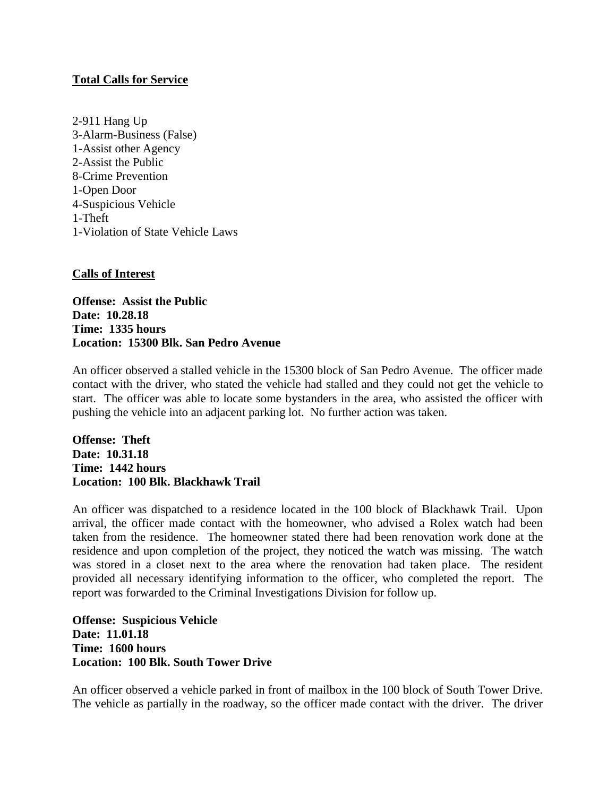## **Total Calls for Service**

2-911 Hang Up 3-Alarm-Business (False) 1-Assist other Agency 2-Assist the Public 8-Crime Prevention 1-Open Door 4-Suspicious Vehicle 1-Theft 1-Violation of State Vehicle Laws

## **Calls of Interest**

**Offense: Assist the Public Date: 10.28.18 Time: 1335 hours Location: 15300 Blk. San Pedro Avenue**

An officer observed a stalled vehicle in the 15300 block of San Pedro Avenue. The officer made contact with the driver, who stated the vehicle had stalled and they could not get the vehicle to start. The officer was able to locate some bystanders in the area, who assisted the officer with pushing the vehicle into an adjacent parking lot. No further action was taken.

**Offense: Theft Date: 10.31.18 Time: 1442 hours Location: 100 Blk. Blackhawk Trail**

An officer was dispatched to a residence located in the 100 block of Blackhawk Trail. Upon arrival, the officer made contact with the homeowner, who advised a Rolex watch had been taken from the residence. The homeowner stated there had been renovation work done at the residence and upon completion of the project, they noticed the watch was missing. The watch was stored in a closet next to the area where the renovation had taken place. The resident provided all necessary identifying information to the officer, who completed the report. The report was forwarded to the Criminal Investigations Division for follow up.

**Offense: Suspicious Vehicle Date: 11.01.18 Time: 1600 hours Location: 100 Blk. South Tower Drive**

An officer observed a vehicle parked in front of mailbox in the 100 block of South Tower Drive. The vehicle as partially in the roadway, so the officer made contact with the driver. The driver